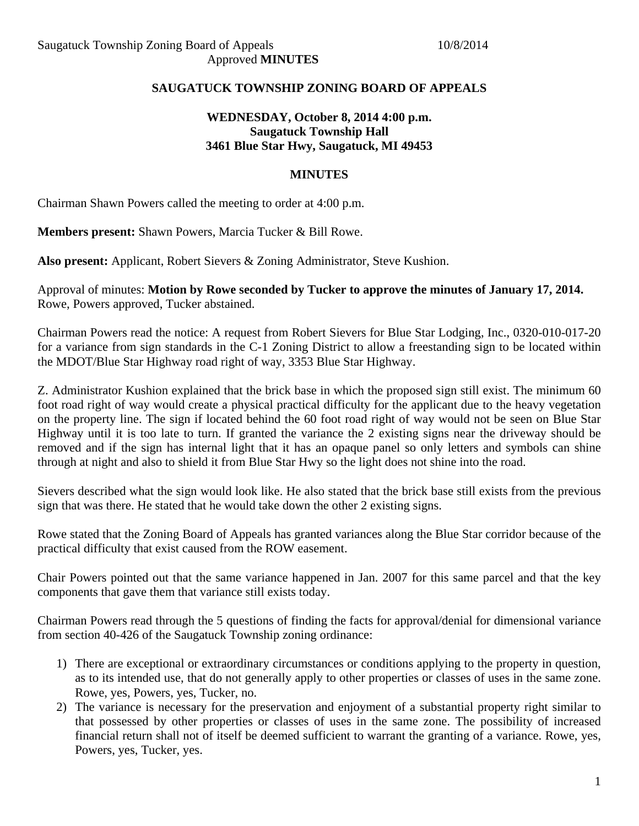## **SAUGATUCK TOWNSHIP ZONING BOARD OF APPEALS**

## **WEDNESDAY, October 8, 2014 4:00 p.m. Saugatuck Township Hall 3461 Blue Star Hwy, Saugatuck, MI 49453**

## **MINUTES**

Chairman Shawn Powers called the meeting to order at 4:00 p.m.

**Members present:** Shawn Powers, Marcia Tucker & Bill Rowe.

**Also present:** Applicant, Robert Sievers & Zoning Administrator, Steve Kushion.

Approval of minutes: **Motion by Rowe seconded by Tucker to approve the minutes of January 17, 2014.**  Rowe, Powers approved, Tucker abstained.

Chairman Powers read the notice: A request from Robert Sievers for Blue Star Lodging, Inc., 0320-010-017-20 for a variance from sign standards in the C-1 Zoning District to allow a freestanding sign to be located within the MDOT/Blue Star Highway road right of way, 3353 Blue Star Highway.

Z. Administrator Kushion explained that the brick base in which the proposed sign still exist. The minimum 60 foot road right of way would create a physical practical difficulty for the applicant due to the heavy vegetation on the property line. The sign if located behind the 60 foot road right of way would not be seen on Blue Star Highway until it is too late to turn. If granted the variance the 2 existing signs near the driveway should be removed and if the sign has internal light that it has an opaque panel so only letters and symbols can shine through at night and also to shield it from Blue Star Hwy so the light does not shine into the road.

Sievers described what the sign would look like. He also stated that the brick base still exists from the previous sign that was there. He stated that he would take down the other 2 existing signs.

Rowe stated that the Zoning Board of Appeals has granted variances along the Blue Star corridor because of the practical difficulty that exist caused from the ROW easement.

Chair Powers pointed out that the same variance happened in Jan. 2007 for this same parcel and that the key components that gave them that variance still exists today.

Chairman Powers read through the 5 questions of finding the facts for approval/denial for dimensional variance from section 40-426 of the Saugatuck Township zoning ordinance:

- 1) There are exceptional or extraordinary circumstances or conditions applying to the property in question, as to its intended use, that do not generally apply to other properties or classes of uses in the same zone. Rowe, yes, Powers, yes, Tucker, no.
- 2) The variance is necessary for the preservation and enjoyment of a substantial property right similar to that possessed by other properties or classes of uses in the same zone. The possibility of increased financial return shall not of itself be deemed sufficient to warrant the granting of a variance. Rowe, yes, Powers, yes, Tucker, yes.